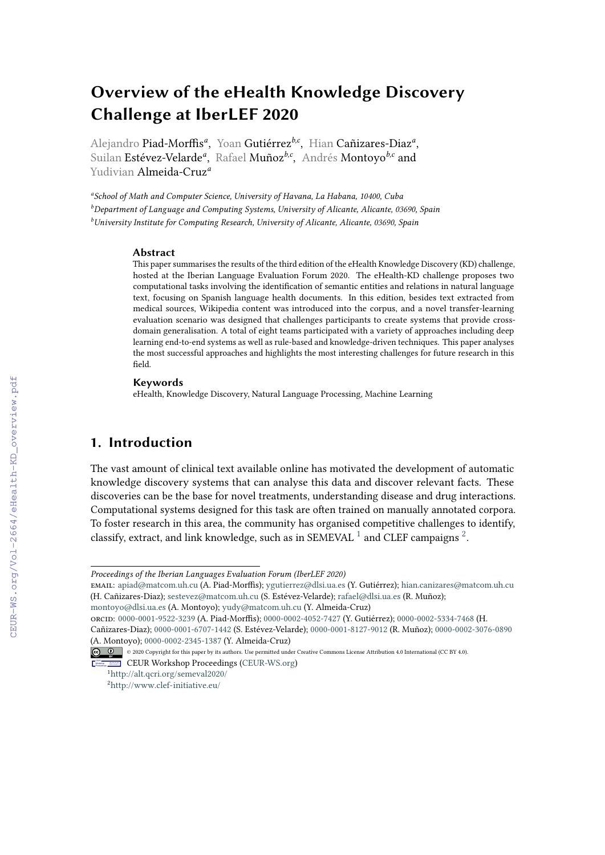# **Overview of the eHealth Knowledge Discovery Challenge at IberLEF 2020**

Alejandro Piad-Morffis<sup>a</sup>, Yoan Gutiérrez<sup>b,c</sup>, Hian Cañizares-Diaz<sup>a</sup>, Suilan Estévez-Velarde*<sup>a</sup>* , Rafael Muñoz*b,c* , Andrés Montoyo*b,c* and Yudivian Almeida-Cruz*<sup>a</sup>*

*a School of Math and Computer Science, University of Havana, La Habana, 10400, Cuba <sup>b</sup>Department of Language and Computing Systems, University of Alicante, Alicante, 03690, Spain <sup>b</sup>University Institute for Computing Research, University of Alicante, Alicante, 03690, Spain*

#### **Abstract**

This paper summarises the results of the third edition of the eHealth Knowledge Discovery (KD) challenge, hosted at the Iberian Language Evaluation Forum 2020. The eHealth-KD challenge proposes two computational tasks involving the identification of semantic entities and relations in natural language text, focusing on Spanish language health documents. In this edition, besides text extracted from medical sources, Wikipedia content was introduced into the corpus, and a novel transfer-learning evaluation scenario was designed that challenges participants to create systems that provide crossdomain generalisation. A total of eight teams participated with a variety of approaches including deep learning end-to-end systems as well as rule-based and knowledge-driven techniques. This paper analyses the most successful approaches and highlights the most interesting challenges for future research in this field.

#### **Keywords**

eHealth, Knowledge Discovery, Natural Language Processing, Machine Learning

# **1. Introduction**

The vast amount of clinical text available online has motivated the development of automatic knowledge discovery systems that can analyse this data and discover relevant facts. These discoveries can be the base for novel treatments, understanding disease and drug interactions. Computational systems designed for this task are often trained on manually annotated corpora. To foster research in this area, the community has organised competitive challenges to identify, classify, extract, and link knowledge, such as in SEMEVAL  $^1$  $^1$  and CLEF campaigns  $^2$  $^2$ .

email: [apiad@matcom.uh.cu](mailto:apiad@matcom.uh.cu) (A. Piad-Morffis); [ygutierrez@dlsi.ua.es](mailto:ygutierrez@dlsi.ua.es) (Y. Gutiérrez); [hian.canizares@matcom.uh.cu](mailto:hian.canizares@matcom.uh.cu) (H. Cañizares-Diaz); [sestevez@matcom.uh.cu](mailto:sestevez@matcom.uh.cu) (S. Estévez-Velarde); [rafael@dlsi.ua.es](mailto:rafael@dlsi.ua.es) (R. Muñoz);

```
montoyo@dlsi.ua.es (A. Montoyo); yudy@matcom.uh.cu (Y. Almeida-Cruz)
```
orcid: [0000-0001-9522-3239](https://orcid.org/0000-0001-9522-3239) (A. Piad-Morffis); [0000-0002-4052-7427](https://orcid.org/0000-0002-4052-7427) (Y. Gutiérrez); [0000-0002-5334-7468](https://orcid.org/0000-0002-5334-7468) (H.

*Proceedings of the Iberian Languages Evaluation Forum (IberLEF 2020)*

Cañizares-Diaz); [0000-0001-6707-1442](https://orcid.org/0000-0001-6707-1442) (S. Estévez-Velarde); [0000-0001-8127-9012](https://orcid.org/0000-0001-8127-9012) (R. Muñoz); [0000-0002-3076-0890](https://orcid.org/0000-0002-3076-0890) (A. Montoyo); [0000-0002-2345-1387](https://orcid.org/0000-0002-2345-1387) (Y. Almeida-Cruz)

 $\boxed{\text{G}}$   $\boxed{0}$   $\boxed{0}$   $\boxed{2020}$  Copyright for this paper by its authors. Use permitted under Creative Commons License Attribution 4.0 International (CC BY 4.0).

CEUR Workshop [Proceedings](http://ceur-ws.org) [\(CEUR-WS.org\)](http://ceur-ws.org)

<span id="page-0-0"></span><sup>1</sup><http://alt.qcri.org/semeval2020/>

<span id="page-0-1"></span><sup>2</sup><http://www.clef-initiative.eu/>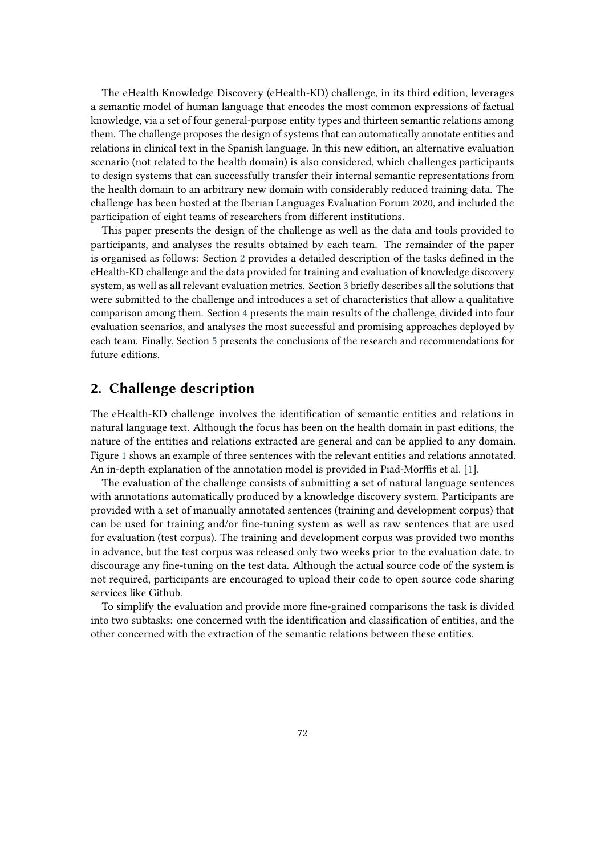The eHealth Knowledge Discovery (eHealth-KD) challenge, in its third edition, leverages a semantic model of human language that encodes the most common expressions of factual knowledge, via a set of four general-purpose entity types and thirteen semantic relations among them. The challenge proposes the design of systems that can automatically annotate entities and relations in clinical text in the Spanish language. In this new edition, an alternative evaluation scenario (not related to the health domain) is also considered, which challenges participants to design systems that can successfully transfer their internal semantic representations from the health domain to an arbitrary new domain with considerably reduced training data. The challenge has been hosted at the Iberian Languages Evaluation Forum 2020, and included the participation of eight teams of researchers from different institutions.

This paper presents the design of the challenge as well as the data and tools provided to participants, and analyses the results obtained by each team. The remainder of the paper is organised as follows: Section [2](#page-1-0) provides a detailed description of the tasks defined in the eHealth-KD challenge and the data provided for training and evaluation of knowledge discovery system, as well as all relevant evaluation metrics. Section [3](#page-6-0) briefly describes all the solutions that were submitted to the challenge and introduces a set of characteristics that allow a qualitative comparison among them. Section [4](#page-9-0) presents the main results of the challenge, divided into four evaluation scenarios, and analyses the most successful and promising approaches deployed by each team. Finally, Section [5](#page-10-0) presents the conclusions of the research and recommendations for future editions.

# <span id="page-1-0"></span>**2. Challenge description**

The eHealth-KD challenge involves the identification of semantic entities and relations in natural language text. Although the focus has been on the health domain in past editions, the nature of the entities and relations extracted are general and can be applied to any domain. Figure [1](#page-2-0) shows an example of three sentences with the relevant entities and relations annotated. An in-depth explanation of the annotation model is provided in Piad-Morffis et al. [\[1\]](#page-12-0).

The evaluation of the challenge consists of submitting a set of natural language sentences with annotations automatically produced by a knowledge discovery system. Participants are provided with a set of manually annotated sentences (training and development corpus) that can be used for training and/or fine-tuning system as well as raw sentences that are used for evaluation (test corpus). The training and development corpus was provided two months in advance, but the test corpus was released only two weeks prior to the evaluation date, to discourage any fine-tuning on the test data. Although the actual source code of the system is not required, participants are encouraged to upload their code to open source code sharing services like Github.

To simplify the evaluation and provide more fine-grained comparisons the task is divided into two subtasks: one concerned with the identification and classification of entities, and the other concerned with the extraction of the semantic relations between these entities.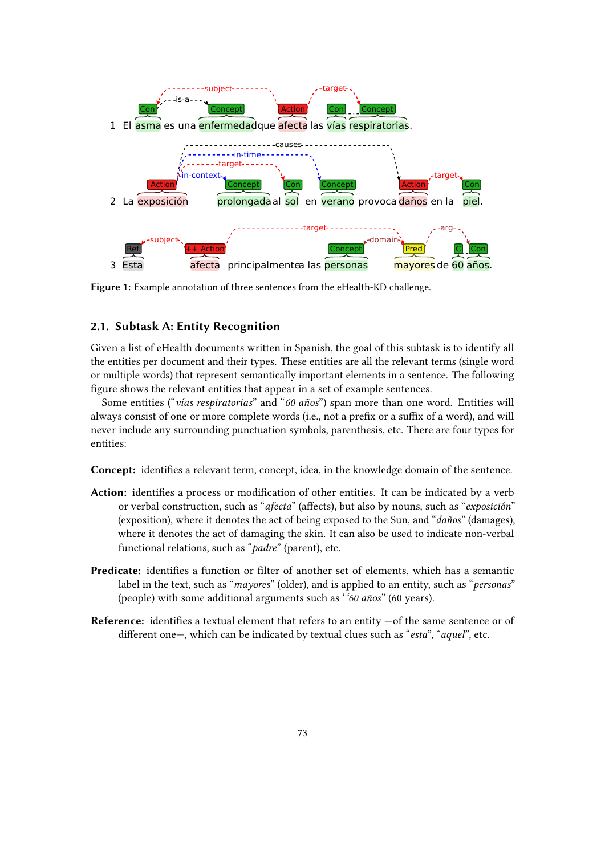

<span id="page-2-0"></span>**Figure 1:** Example annotation of three sentences from the eHealth-KD challenge.

### **2.1. Subtask A: Entity Recognition**

Given a list of eHealth documents written in Spanish, the goal of this subtask is to identify all the entities per document and their types. These entities are all the relevant terms (single word or multiple words) that represent semantically important elements in a sentence. The following figure shows the relevant entities that appear in a set of example sentences.

Some entities ("*vías respiratorias*" and "*60 años*") span more than one word. Entities will always consist of one or more complete words (i.e., not a prefix or a suffix of a word), and will never include any surrounding punctuation symbols, parenthesis, etc. There are four types for entities:

**Concept:** identifies a relevant term, concept, idea, in the knowledge domain of the sentence.

- **Action:** identifies a process or modification of other entities. It can be indicated by a verb or verbal construction, such as "*afecta*" (affects), but also by nouns, such as "*exposición*" (exposition), where it denotes the act of being exposed to the Sun, and "*daños*" (damages), where it denotes the act of damaging the skin. It can also be used to indicate non-verbal functional relations, such as "*padre*" (parent), etc.
- **Predicate:** identifies a function or filter of another set of elements, which has a semantic label in the text, such as "*mayores*" (older), and is applied to an entity, such as "*personas*" (people) with some additional arguments such as '*'60 años*" (60 years).
- **Reference:** identifies a textual element that refers to an entity  $-$  of the same sentence or of different one—, which can be indicated by textual clues such as "*esta*", "*aquel*", etc.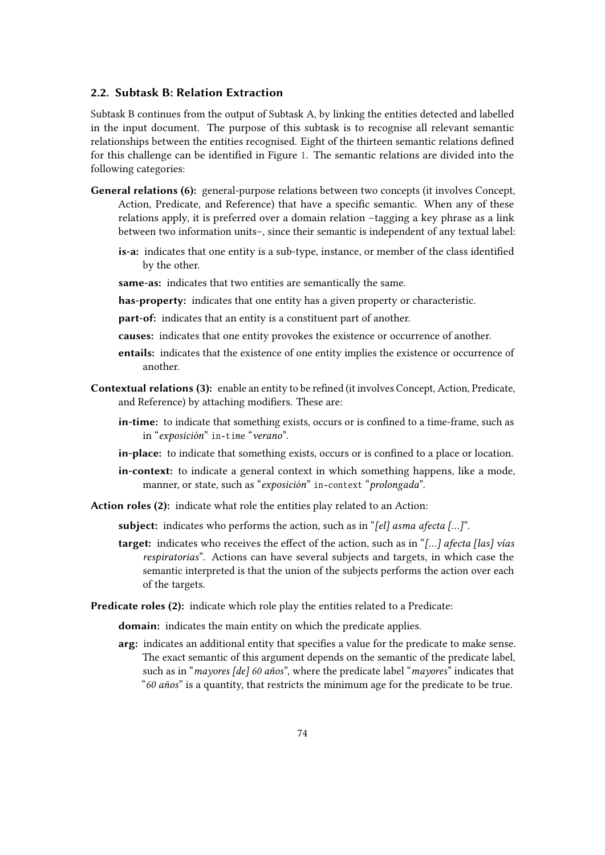### **2.2. Subtask B: Relation Extraction**

Subtask B continues from the output of Subtask A, by linking the entities detected and labelled in the input document. The purpose of this subtask is to recognise all relevant semantic relationships between the entities recognised. Eight of the thirteen semantic relations defined for this challenge can be identified in Figure [1.](#page-2-0) The semantic relations are divided into the following categories:

- **General relations (6):** general-purpose relations between two concepts (it involves Concept, Action, Predicate, and Reference) that have a specific semantic. When any of these relations apply, it is preferred over a domain relation –tagging a key phrase as a link between two information units–, since their semantic is independent of any textual label:
	- **is-a:** indicates that one entity is a sub-type, instance, or member of the class identified by the other.
	- **same-as:** indicates that two entities are semantically the same.
	- **has-property:** indicates that one entity has a given property or characteristic.
	- **part-of:** indicates that an entity is a constituent part of another.
	- **causes:** indicates that one entity provokes the existence or occurrence of another.
	- **entails:** indicates that the existence of one entity implies the existence or occurrence of another.
- **Contextual relations (3):** enable an entity to be refined (it involves Concept, Action, Predicate, and Reference) by attaching modifiers. These are:
	- **in-time:** to indicate that something exists, occurs or is confined to a time-frame, such as in "*exposición*" in-time "verano".
	- **in-place:** to indicate that something exists, occurs or is confined to a place or location.
	- **in-context:** to indicate a general context in which something happens, like a mode, manner, or state, such as "exposición" in-context "prolongada".
- **Action roles (2):** indicate what role the entities play related to an Action:
	- **subject:** indicates who performs the action, such as in "*[el] asma afecta […]*".
	- **target:** indicates who receives the effect of the action, such as in "*[…] afecta [las] vías respiratorias*". Actions can have several subjects and targets, in which case the semantic interpreted is that the union of the subjects performs the action over each of the targets.
- **Predicate roles (2):** indicate which role play the entities related to a Predicate:

**domain:** indicates the main entity on which the predicate applies.

**arg:** indicates an additional entity that specifies a value for the predicate to make sense. The exact semantic of this argument depends on the semantic of the predicate label, such as in "*mayores [de] 60 años*", where the predicate label "*mayores*" indicates that "*60 años*" is a quantity, that restricts the minimum age for the predicate to be true.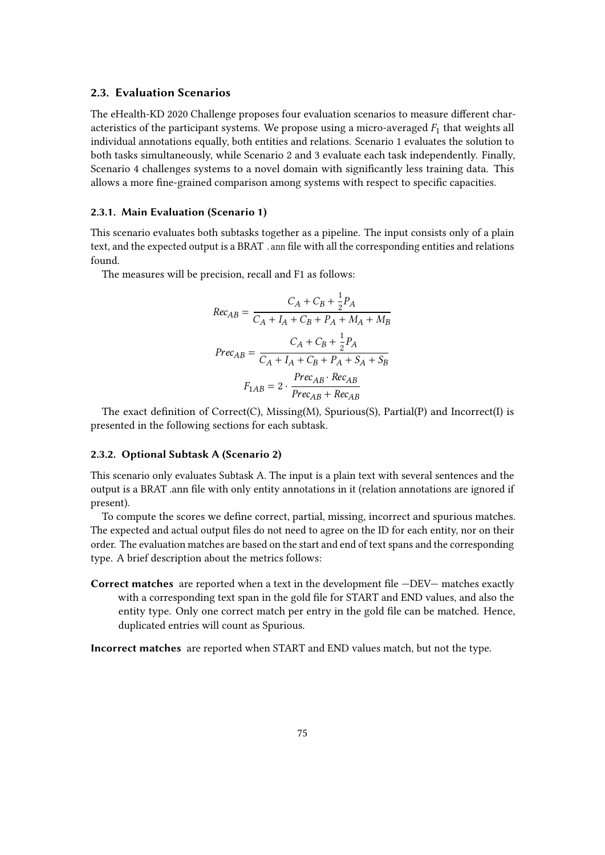#### **2.3. Evaluation Scenarios**

The eHealth-KD 2020 Challenge proposes four evaluation scenarios to measure different characteristics of the participant systems. We propose using a micro-averaged  $F_1$  that weights all individual annotations equally, both entities and relations. Scenario 1 evaluates the solution to both tasks simultaneously, while Scenario 2 and 3 evaluate each task independently. Finally, Scenario 4 challenges systems to a novel domain with significantly less training data. This allows a more fine-grained comparison among systems with respect to specific capacities.

#### **2.3.1. Main Evaluation (Scenario 1)**

This scenario evaluates both subtasks together as a pipeline. The input consists only of a plain text, and the expected output is a BRAT . ann file with all the corresponding entities and relations found.

The measures will be precision, recall and F1 as follows:

$$
Rec_{AB} = \frac{C_A + C_B + \frac{1}{2}P_A}{C_A + I_A + C_B + P_A + M_A + M_B}
$$

$$
Prec_{AB} = \frac{C_A + C_B + \frac{1}{2}P_A}{C_A + I_A + C_B + P_A + S_A + S_B}
$$

$$
F_{1AB} = 2 \cdot \frac{Prec_{AB} \cdot Rec_{AB}}{Prec_{AB} + Rec_{AB}}
$$

The exact definition of Correct(C), Missing(M), Spurious(S), Partial(P) and Incorrect(I) is presented in the following sections for each subtask.

#### **2.3.2. Optional Subtask A (Scenario 2)**

This scenario only evaluates Subtask A. The input is a plain text with several sentences and the output is a BRAT .ann file with only entity annotations in it (relation annotations are ignored if present).

To compute the scores we define correct, partial, missing, incorrect and spurious matches. The expected and actual output files do not need to agree on the ID for each entity, nor on their order. The evaluation matches are based on the start and end of text spans and the corresponding type. A brief description about the metrics follows:

**Correct matches** are reported when a text in the development file —DEV— matches exactly with a corresponding text span in the gold file for START and END values, and also the entity type. Only one correct match per entry in the gold file can be matched. Hence, duplicated entries will count as Spurious.

**Incorrect matches** are reported when START and END values match, but not the type.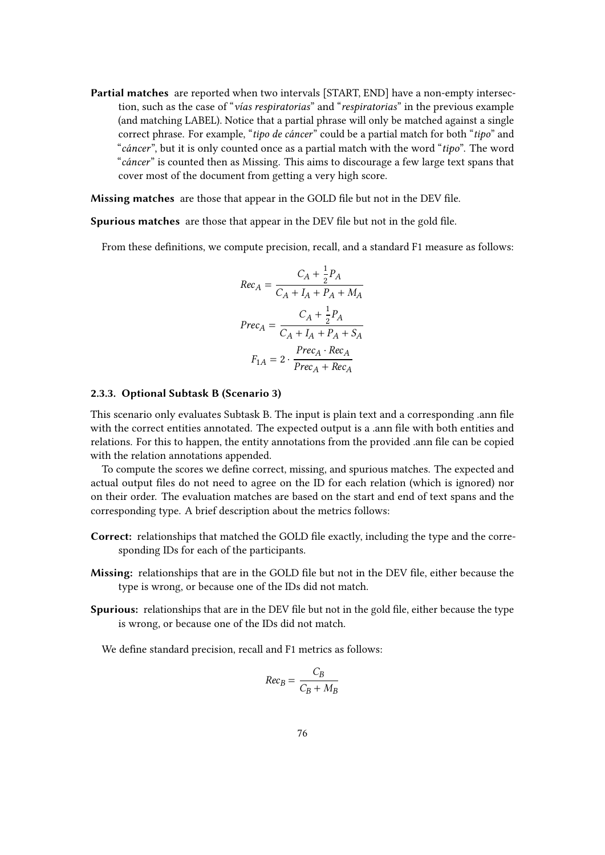**Partial matches** are reported when two intervals [START, END] have a non-empty intersection, such as the case of "*vías respiratorias*" and "*respiratorias*" in the previous example (and matching LABEL). Notice that a partial phrase will only be matched against a single correct phrase. For example, "*tipo de cáncer*" could be a partial match for both "*tipo*" and "*cáncer*", but it is only counted once as a partial match with the word "*tipo*". The word "*cáncer*" is counted then as Missing. This aims to discourage a few large text spans that cover most of the document from getting a very high score.

**Missing matches** are those that appear in the GOLD file but not in the DEV file.

**Spurious matches** are those that appear in the DEV file but not in the gold file.

From these definitions, we compute precision, recall, and a standard F1 measure as follows:

$$
Rec_A = \frac{C_A + \frac{1}{2}P_A}{C_A + I_A + P_A + M_A}
$$

$$
Prec_A = \frac{C_A + \frac{1}{2}P_A}{C_A + I_A + P_A + S_A}
$$

$$
F_{1A} = 2 \cdot \frac{Prec_A \cdot Rec_A}{Prec_A + Rec_A)}
$$

#### **2.3.3. Optional Subtask B (Scenario 3)**

This scenario only evaluates Subtask B. The input is plain text and a corresponding .ann file with the correct entities annotated. The expected output is a .ann file with both entities and relations. For this to happen, the entity annotations from the provided .ann file can be copied with the relation annotations appended.

To compute the scores we define correct, missing, and spurious matches. The expected and actual output files do not need to agree on the ID for each relation (which is ignored) nor on their order. The evaluation matches are based on the start and end of text spans and the corresponding type. A brief description about the metrics follows:

- **Correct:** relationships that matched the GOLD file exactly, including the type and the corresponding IDs for each of the participants.
- **Missing:** relationships that are in the GOLD file but not in the DEV file, either because the type is wrong, or because one of the IDs did not match.
- **Spurious:** relationships that are in the DEV file but not in the gold file, either because the type is wrong, or because one of the IDs did not match.

We define standard precision, recall and F1 metrics as follows:

$$
Rec_B = \frac{C_B}{C_B + M_B}
$$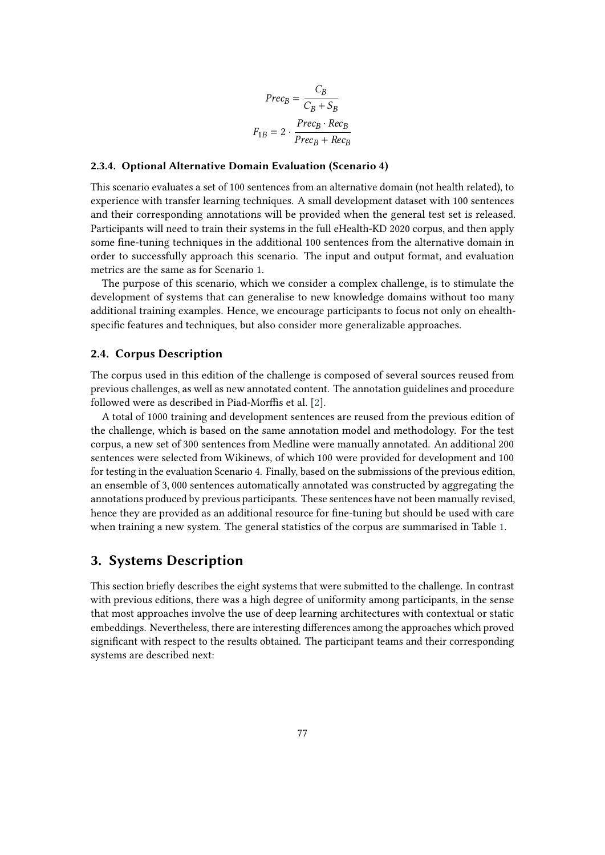$$
Prec_B = \frac{C_B}{C_B + S_B}
$$

$$
F_{1B} = 2 \cdot \frac{Prec_B \cdot Rec_B}{Prec_B + Rec_B}
$$

#### **2.3.4. Optional Alternative Domain Evaluation (Scenario 4)**

This scenario evaluates a set of 100 sentences from an alternative domain (not health related), to experience with transfer learning techniques. A small development dataset with 100 sentences and their corresponding annotations will be provided when the general test set is released. Participants will need to train their systems in the full eHealth-KD 2020 corpus, and then apply some fine-tuning techniques in the additional 100 sentences from the alternative domain in order to successfully approach this scenario. The input and output format, and evaluation metrics are the same as for Scenario 1.

The purpose of this scenario, which we consider a complex challenge, is to stimulate the development of systems that can generalise to new knowledge domains without too many additional training examples. Hence, we encourage participants to focus not only on ehealthspecific features and techniques, but also consider more generalizable approaches.

#### **2.4. Corpus Description**

The corpus used in this edition of the challenge is composed of several sources reused from previous challenges, as well as new annotated content. The annotation guidelines and procedure followed were as described in Piad-Morffis et al. [\[2\]](#page-12-1).

A total of 1000 training and development sentences are reused from the previous edition of the challenge, which is based on the same annotation model and methodology. For the test corpus, a new set of 300 sentences from Medline were manually annotated. An additional 200 sentences were selected from Wikinews, of which 100 were provided for development and 100 for testing in the evaluation Scenario 4. Finally, based on the submissions of the previous edition, an ensemble of 3, 000 sentences automatically annotated was constructed by aggregating the annotations produced by previous participants. These sentences have not been manually revised, hence they are provided as an additional resource for fine-tuning but should be used with care when training a new system. The general statistics of the corpus are summarised in Table [1.](#page-7-0)

### <span id="page-6-0"></span>**3. Systems Description**

This section briefly describes the eight systems that were submitted to the challenge. In contrast with previous editions, there was a high degree of uniformity among participants, in the sense that most approaches involve the use of deep learning architectures with contextual or static embeddings. Nevertheless, there are interesting differences among the approaches which proved significant with respect to the results obtained. The participant teams and their corresponding systems are described next: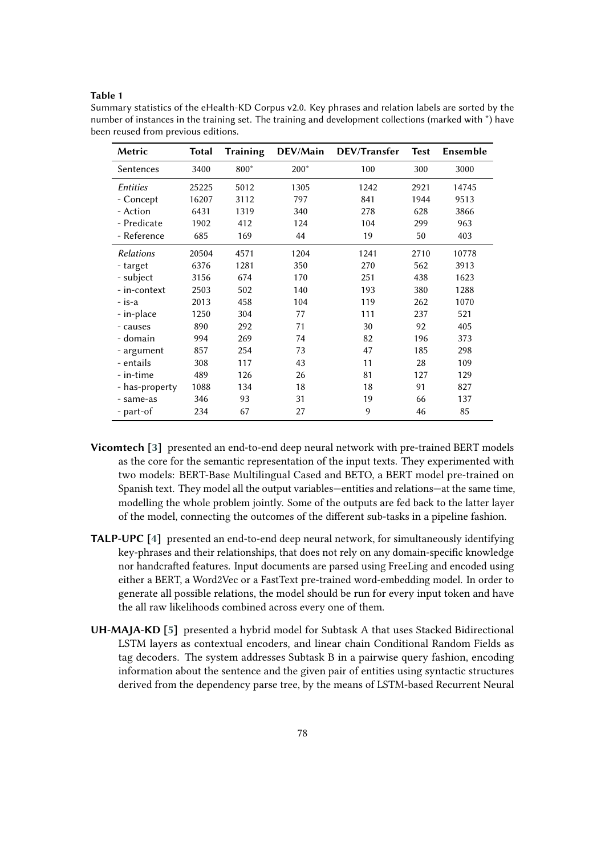#### <span id="page-7-0"></span>**Table 1**

Summary statistics of the eHealth-KD Corpus v2.0. Key phrases and relation labels are sorted by the number of instances in the training set. The training and development collections (marked with \*) have been reused from previous editions.

| Metric           | Total | <b>Training</b> | DEV/Main | DEV/Transfer | <b>Test</b> | Ensemble |
|------------------|-------|-----------------|----------|--------------|-------------|----------|
| Sentences        | 3400  | 800*            | $200*$   | 100          | 300         | 3000     |
| <i>Entities</i>  | 25225 | 5012            | 1305     | 1242         | 2921        | 14745    |
| - Concept        | 16207 | 3112            | 797      | 841          | 1944        | 9513     |
| - Action         | 6431  | 1319            | 340      | 278          | 628         | 3866     |
| - Predicate      | 1902  | 412             | 124      | 104          | 299         | 963      |
| - Reference      | 685   | 169             | 44       | 19           | 50          | 403      |
| <b>Relations</b> | 20504 | 4571            | 1204     | 1241         | 2710        | 10778    |
| - target         | 6376  | 1281            | 350      | 270          | 562         | 3913     |
| - subject        | 3156  | 674             | 170      | 251          | 438         | 1623     |
| - in-context     | 2503  | 502             | 140      | 193          | 380         | 1288     |
| - is-a           | 2013  | 458             | 104      | 119          | 262         | 1070     |
| - in-place       | 1250  | 304             | 77       | 111          | 237         | 521      |
| - causes         | 890   | 292             | 71       | 30           | 92          | 405      |
| - domain         | 994   | 269             | 74       | 82           | 196         | 373      |
| - argument       | 857   | 254             | 73       | 47           | 185         | 298      |
| - entails        | 308   | 117             | 43       | 11           | 28          | 109      |
| - in-time        | 489   | 126             | 26       | 81           | 127         | 129      |
| - has-property   | 1088  | 134             | 18       | 18           | 91          | 827      |
| - same-as        | 346   | 93              | 31       | 19           | 66          | 137      |
| - part-of        | 234   | 67              | 27       | 9            | 46          | 85       |

- **Vicomtech [\[3\]](#page-12-2)** presented an end-to-end deep neural network with pre-trained BERT models as the core for the semantic representation of the input texts. They experimented with two models: BERT-Base Multilingual Cased and BETO, a BERT model pre-trained on Spanish text. They model all the output variables—entities and relations—at the same time, modelling the whole problem jointly. Some of the outputs are fed back to the latter layer of the model, connecting the outcomes of the different sub-tasks in a pipeline fashion.
- **TALP-UPC [\[4\]](#page-12-3)** presented an end-to-end deep neural network, for simultaneously identifying key-phrases and their relationships, that does not rely on any domain-specific knowledge nor handcrafted features. Input documents are parsed using FreeLing and encoded using either a BERT, a Word2Vec or a FastText pre-trained word-embedding model. In order to generate all possible relations, the model should be run for every input token and have the all raw likelihoods combined across every one of them.
- **UH-MAJA-KD [\[5\]](#page-12-4)** presented a hybrid model for Subtask A that uses Stacked Bidirectional LSTM layers as contextual encoders, and linear chain Conditional Random Fields as tag decoders. The system addresses Subtask B in a pairwise query fashion, encoding information about the sentence and the given pair of entities using syntactic structures derived from the dependency parse tree, by the means of LSTM-based Recurrent Neural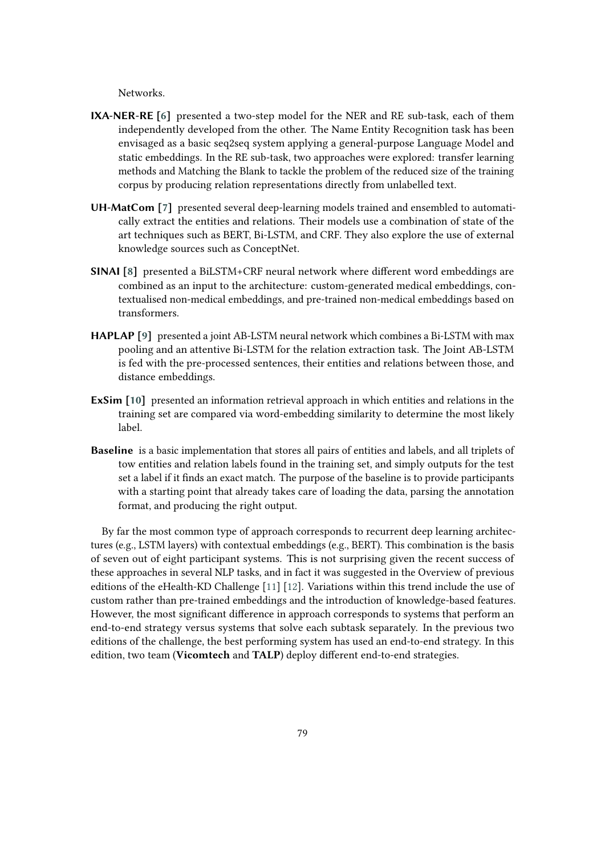Networks.

- **IXA-NER-RE [\[6\]](#page-12-5)** presented a two-step model for the NER and RE sub-task, each of them independently developed from the other. The Name Entity Recognition task has been envisaged as a basic seq2seq system applying a general-purpose Language Model and static embeddings. In the RE sub-task, two approaches were explored: transfer learning methods and Matching the Blank to tackle the problem of the reduced size of the training corpus by producing relation representations directly from unlabelled text.
- **UH-MatCom [\[7\]](#page-12-6)** presented several deep-learning models trained and ensembled to automatically extract the entities and relations. Their models use a combination of state of the art techniques such as BERT, Bi-LSTM, and CRF. They also explore the use of external knowledge sources such as ConceptNet.
- **SINAI [\[8\]](#page-12-7)** presented a BiLSTM+CRF neural network where different word embeddings are combined as an input to the architecture: custom-generated medical embeddings, contextualised non-medical embeddings, and pre-trained non-medical embeddings based on transformers.
- **HAPLAP [\[9\]](#page-13-0)** presented a joint AB-LSTM neural network which combines a Bi-LSTM with max pooling and an attentive Bi-LSTM for the relation extraction task. The Joint AB-LSTM is fed with the pre-processed sentences, their entities and relations between those, and distance embeddings.
- **ExSim [\[10\]](#page-13-1)** presented an information retrieval approach in which entities and relations in the training set are compared via word-embedding similarity to determine the most likely label.
- **Baseline** is a basic implementation that stores all pairs of entities and labels, and all triplets of tow entities and relation labels found in the training set, and simply outputs for the test set a label if it finds an exact match. The purpose of the baseline is to provide participants with a starting point that already takes care of loading the data, parsing the annotation format, and producing the right output.

By far the most common type of approach corresponds to recurrent deep learning architectures (e.g., LSTM layers) with contextual embeddings (e.g., BERT). This combination is the basis of seven out of eight participant systems. This is not surprising given the recent success of these approaches in several NLP tasks, and in fact it was suggested in the Overview of previous editions of the eHealth-KD Challenge [\[11\]](#page-13-2) [\[12\]](#page-13-3). Variations within this trend include the use of custom rather than pre-trained embeddings and the introduction of knowledge-based features. However, the most significant difference in approach corresponds to systems that perform an end-to-end strategy versus systems that solve each subtask separately. In the previous two editions of the challenge, the best performing system has used an end-to-end strategy. In this edition, two team (**Vicomtech** and **TALP**) deploy different end-to-end strategies.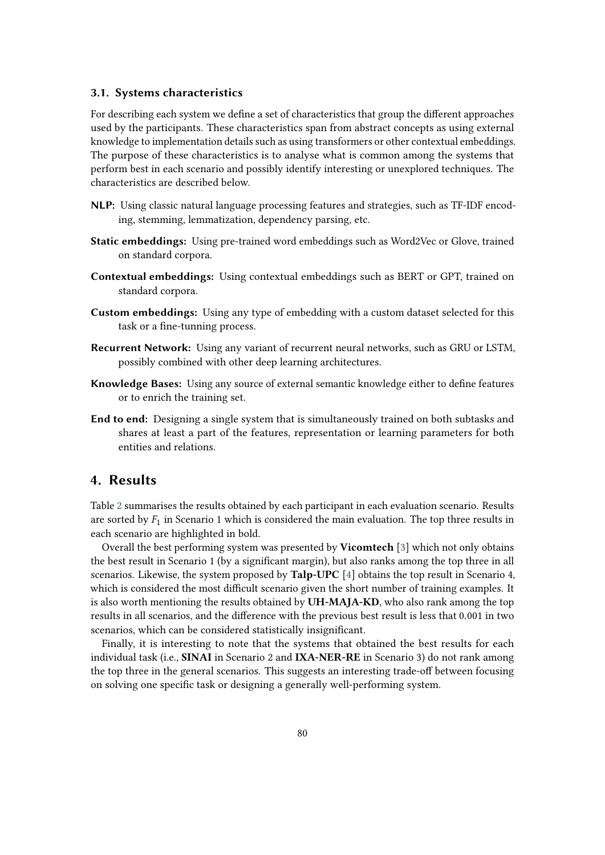#### <span id="page-9-1"></span>**3.1. Systems characteristics**

For describing each system we define a set of characteristics that group the different approaches used by the participants. These characteristics span from abstract concepts as using external knowledge to implementation details such as using transformers or other contextual embeddings. The purpose of these characteristics is to analyse what is common among the systems that perform best in each scenario and possibly identify interesting or unexplored techniques. The characteristics are described below.

- **NLP:** Using classic natural language processing features and strategies, such as TF-IDF encoding, stemming, lemmatization, dependency parsing, etc.
- **Static embeddings:** Using pre-trained word embeddings such as Word2Vec or Glove, trained on standard corpora.
- **Contextual embeddings:** Using contextual embeddings such as BERT or GPT, trained on standard corpora.
- **Custom embeddings:** Using any type of embedding with a custom dataset selected for this task or a fine-tunning process.
- **Recurrent Network:** Using any variant of recurrent neural networks, such as GRU or LSTM, possibly combined with other deep learning architectures.
- **Knowledge Bases:** Using any source of external semantic knowledge either to define features or to enrich the training set.
- **End to end:** Designing a single system that is simultaneously trained on both subtasks and shares at least a part of the features, representation or learning parameters for both entities and relations.

## <span id="page-9-0"></span>**4. Results**

Table [2](#page-10-1) summarises the results obtained by each participant in each evaluation scenario. Results are sorted by  $F_1$  in Scenario 1 which is considered the main evaluation. The top three results in each scenario are highlighted in bold.

Overall the best performing system was presented by **Vicomtech** [\[3\]](#page-12-2) which not only obtains the best result in Scenario 1 (by a significant margin), but also ranks among the top three in all scenarios. Likewise, the system proposed by **Talp-UPC** [\[4\]](#page-12-3) obtains the top result in Scenario 4, which is considered the most difficult scenario given the short number of training examples. It is also worth mentioning the results obtained by **UH-MAJA-KD**, who also rank among the top results in all scenarios, and the difference with the previous best result is less that 0.001 in two scenarios, which can be considered statistically insignificant.

Finally, it is interesting to note that the systems that obtained the best results for each individual task (i.e., **SINAI** in Scenario 2 and **IXA-NER-RE** in Scenario 3) do not rank among the top three in the general scenarios. This suggests an interesting trade-off between focusing on solving one specific task or designing a generally well-performing system.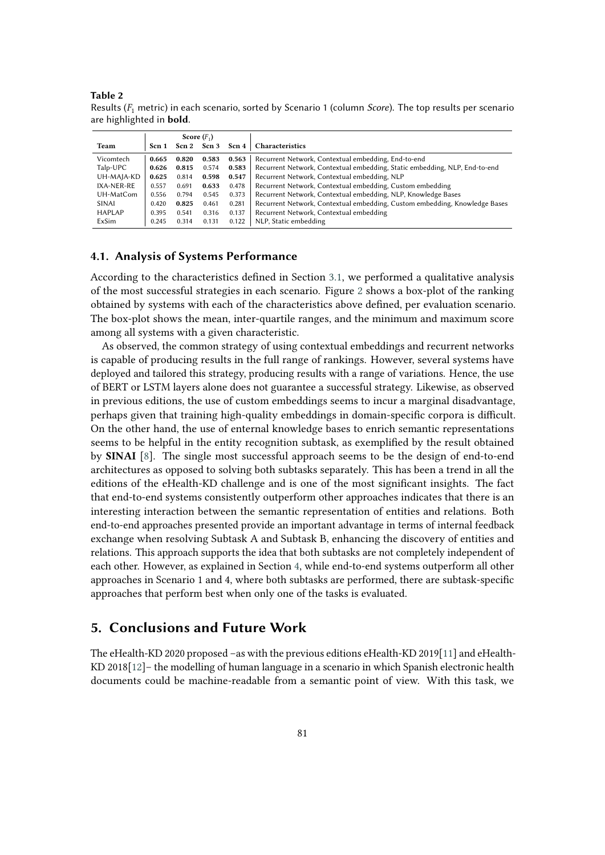<span id="page-10-1"></span>**Table 2** Results (<sup>1</sup> metric) in each scenario, sorted by Scenario 1 (column *Score*). The top results per scenario are highlighted in **bold**.

|               | Score $(F_1)$ |       |             |       |                                                                            |
|---------------|---------------|-------|-------------|-------|----------------------------------------------------------------------------|
| Team          | Scn 1         |       | Scn 2 Scn 3 | Scn 4 | <b>Characteristics</b>                                                     |
| Vicomtech     | 0.665         | 0.820 | 0.583       | 0.563 | Recurrent Network, Contextual embedding, End-to-end                        |
| Talp-UPC      | 0.626         | 0.815 | 0.574       | 0.583 | Recurrent Network, Contextual embedding, Static embedding, NLP, End-to-end |
| UH-MAJA-KD    | 0.625         | 0.814 | 0.598       | 0.547 | Recurrent Network, Contextual embedding, NLP                               |
| IXA-NER-RE    | 0.557         | 0.691 | 0.633       | 0.478 | Recurrent Network, Contextual embedding, Custom embedding                  |
| UH-MatCom     | 0.556         | 0.794 | 0.545       | 0.373 | Recurrent Network, Contextual embedding, NLP, Knowledge Bases              |
| SINAI         | 0.420         | 0.825 | 0.461       | 0.281 | Recurrent Network, Contextual embedding, Custom embedding, Knowledge Bases |
| <b>HAPLAP</b> | 0.395         | 0.541 | 0.316       | 0.137 | Recurrent Network, Contextual embedding                                    |
| ExSim         | 0.245         | 0.314 | 0.131       | 0.122 | NLP, Static embedding                                                      |

#### **4.1. Analysis of Systems Performance**

According to the characteristics defined in Section [3.1,](#page-9-1) we performed a qualitative analysis of the most successful strategies in each scenario. Figure [2](#page-11-0) shows a box-plot of the ranking obtained by systems with each of the characteristics above defined, per evaluation scenario. The box-plot shows the mean, inter-quartile ranges, and the minimum and maximum score among all systems with a given characteristic.

As observed, the common strategy of using contextual embeddings and recurrent networks is capable of producing results in the full range of rankings. However, several systems have deployed and tailored this strategy, producing results with a range of variations. Hence, the use of BERT or LSTM layers alone does not guarantee a successful strategy. Likewise, as observed in previous editions, the use of custom embeddings seems to incur a marginal disadvantage, perhaps given that training high-quality embeddings in domain-specific corpora is difficult. On the other hand, the use of enternal knowledge bases to enrich semantic representations seems to be helpful in the entity recognition subtask, as exemplified by the result obtained by **SINAI** [\[8\]](#page-12-7). The single most successful approach seems to be the design of end-to-end architectures as opposed to solving both subtasks separately. This has been a trend in all the editions of the eHealth-KD challenge and is one of the most significant insights. The fact that end-to-end systems consistently outperform other approaches indicates that there is an interesting interaction between the semantic representation of entities and relations. Both end-to-end approaches presented provide an important advantage in terms of internal feedback exchange when resolving Subtask A and Subtask B, enhancing the discovery of entities and relations. This approach supports the idea that both subtasks are not completely independent of each other. However, as explained in Section [4,](#page-9-0) while end-to-end systems outperform all other approaches in Scenario 1 and 4, where both subtasks are performed, there are subtask-specific approaches that perform best when only one of the tasks is evaluated.

# <span id="page-10-0"></span>**5. Conclusions and Future Work**

The eHealth-KD 2020 proposed –as with the previous editions eHealth-KD 2019[\[11\]](#page-13-2) and eHealth-KD 2018[\[12\]](#page-13-3)– the modelling of human language in a scenario in which Spanish electronic health documents could be machine-readable from a semantic point of view. With this task, we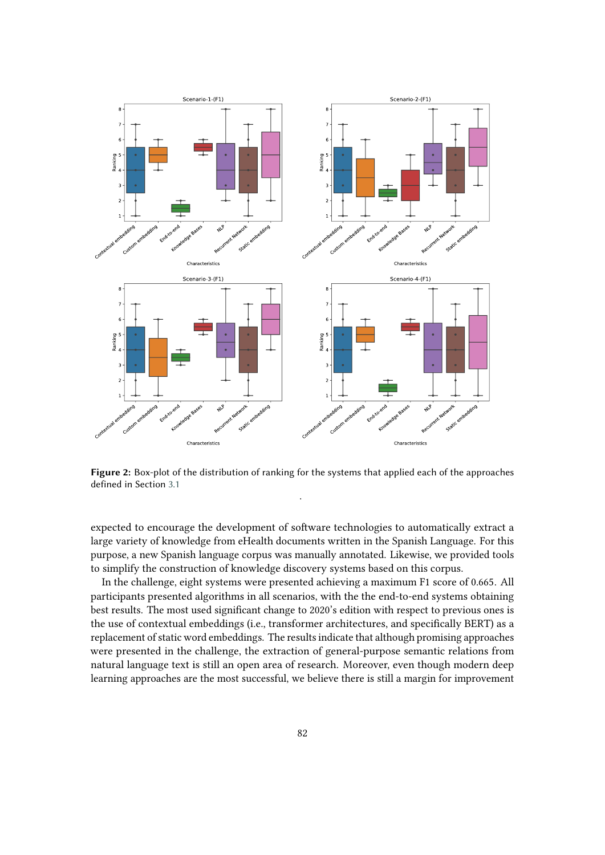

<span id="page-11-0"></span>**Figure 2:** Box-plot of the distribution of ranking for the systems that applied each of the approaches defined in Section [3.1](#page-9-1) .

expected to encourage the development of software technologies to automatically extract a large variety of knowledge from eHealth documents written in the Spanish Language. For this purpose, a new Spanish language corpus was manually annotated. Likewise, we provided tools to simplify the construction of knowledge discovery systems based on this corpus.

In the challenge, eight systems were presented achieving a maximum F1 score of 0.665. All participants presented algorithms in all scenarios, with the the end-to-end systems obtaining best results. The most used significant change to 2020's edition with respect to previous ones is the use of contextual embeddings (i.e., transformer architectures, and specifically BERT) as a replacement of static word embeddings. The results indicate that although promising approaches were presented in the challenge, the extraction of general-purpose semantic relations from natural language text is still an open area of research. Moreover, even though modern deep learning approaches are the most successful, we believe there is still a margin for improvement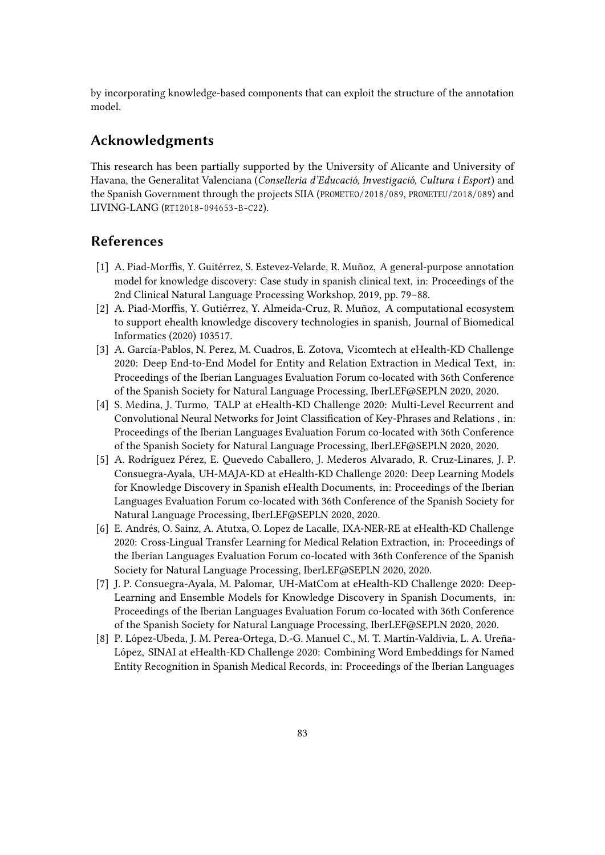by incorporating knowledge-based components that can exploit the structure of the annotation model.

# **Acknowledgments**

This research has been partially supported by the University of Alicante and University of Havana, the Generalitat Valenciana (*Conselleria d'Educació, Investigació, Cultura i Esport*) and the Spanish Government through the projects SIIA (PROMETEO/2018/089, PROMETEU/2018/089) and LIVING-LANG (RTI2018-094653-B-C22).

# **References**

- <span id="page-12-0"></span>[1] A. Piad-Morffis, Y. Guitérrez, S. Estevez-Velarde, R. Muñoz, A general-purpose annotation model for knowledge discovery: Case study in spanish clinical text, in: Proceedings of the 2nd Clinical Natural Language Processing Workshop, 2019, pp. 79–88.
- <span id="page-12-1"></span>[2] A. Piad-Morffis, Y. Gutiérrez, Y. Almeida-Cruz, R. Muñoz, A computational ecosystem to support ehealth knowledge discovery technologies in spanish, Journal of Biomedical Informatics (2020) 103517.
- <span id="page-12-2"></span>[3] A. García-Pablos, N. Perez, M. Cuadros, E. Zotova, Vicomtech at eHealth-KD Challenge 2020: Deep End-to-End Model for Entity and Relation Extraction in Medical Text, in: Proceedings of the Iberian Languages Evaluation Forum co-located with 36th Conference of the Spanish Society for Natural Language Processing, IberLEF@SEPLN 2020, 2020.
- <span id="page-12-3"></span>[4] S. Medina, J. Turmo, TALP at eHealth-KD Challenge 2020: Multi-Level Recurrent and Convolutional Neural Networks for Joint Classification of Key-Phrases and Relations , in: Proceedings of the Iberian Languages Evaluation Forum co-located with 36th Conference of the Spanish Society for Natural Language Processing, IberLEF@SEPLN 2020, 2020.
- <span id="page-12-4"></span>[5] A. Rodríguez Pérez, E. Quevedo Caballero, J. Mederos Alvarado, R. Cruz-Linares, J. P. Consuegra-Ayala, UH-MAJA-KD at eHealth-KD Challenge 2020: Deep Learning Models for Knowledge Discovery in Spanish eHealth Documents, in: Proceedings of the Iberian Languages Evaluation Forum co-located with 36th Conference of the Spanish Society for Natural Language Processing, IberLEF@SEPLN 2020, 2020.
- <span id="page-12-5"></span>[6] E. Andrés, O. Sainz, A. Atutxa, O. Lopez de Lacalle, IXA-NER-RE at eHealth-KD Challenge 2020: Cross-Lingual Transfer Learning for Medical Relation Extraction, in: Proceedings of the Iberian Languages Evaluation Forum co-located with 36th Conference of the Spanish Society for Natural Language Processing, IberLEF@SEPLN 2020, 2020.
- <span id="page-12-6"></span>[7] J. P. Consuegra-Ayala, M. Palomar, UH-MatCom at eHealth-KD Challenge 2020: Deep-Learning and Ensemble Models for Knowledge Discovery in Spanish Documents, in: Proceedings of the Iberian Languages Evaluation Forum co-located with 36th Conference of the Spanish Society for Natural Language Processing, IberLEF@SEPLN 2020, 2020.
- <span id="page-12-7"></span>[8] P. López-Ubeda, J. M. Perea-Ortega, D.-G. Manuel C., M. T. Martín-Valdivia, L. A. Ureña-López, SINAI at eHealth-KD Challenge 2020: Combining Word Embeddings for Named Entity Recognition in Spanish Medical Records, in: Proceedings of the Iberian Languages